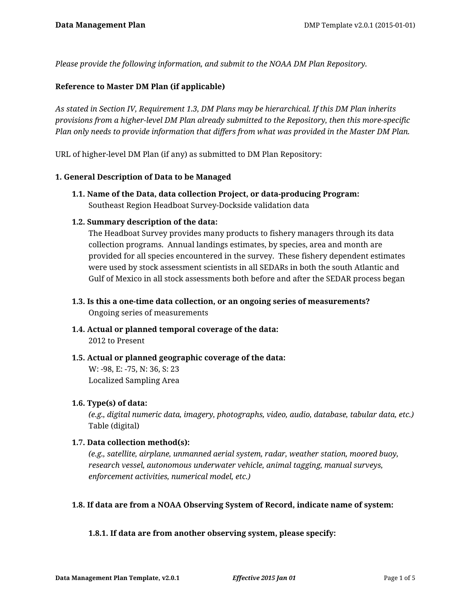*Please provide the following information, and submit to the NOAA DM Plan Repository.*

### **Reference to Master DM Plan (if applicable)**

*As stated in Section IV, Requirement 1.3, DM Plans may be hierarchical. If this DM Plan inherits provisions from a higher-level DM Plan already submitted to the Repository, then this more-specific Plan only needs to provide information that differs from what was provided in the Master DM Plan.*

URL of higher-level DM Plan (if any) as submitted to DM Plan Repository:

### **1. General Description of Data to be Managed**

**1.1. Name of the Data, data collection Project, or data-producing Program:** Southeast Region Headboat Survey-Dockside validation data

### **1.2. Summary description of the data:**

The Headboat Survey provides many products to fishery managers through its data collection programs. Annual landings estimates, by species, area and month are provided for all species encountered in the survey. These fishery dependent estimates were used by stock assessment scientists in all SEDARs in both the south Atlantic and Gulf of Mexico in all stock assessments both before and after the SEDAR process began

- **1.3. Is this a one-time data collection, or an ongoing series of measurements?** Ongoing series of measurements
- **1.4. Actual or planned temporal coverage of the data:** 2012 to Present
- **1.5. Actual or planned geographic coverage of the data:** W: -98, E: -75, N: 36, S: 23 Localized Sampling Area

### **1.6. Type(s) of data:**

*(e.g., digital numeric data, imagery, photographs, video, audio, database, tabular data, etc.)* Table (digital)

### **1.7. Data collection method(s):**

*(e.g., satellite, airplane, unmanned aerial system, radar, weather station, moored buoy, research vessel, autonomous underwater vehicle, animal tagging, manual surveys, enforcement activities, numerical model, etc.)*

### **1.8. If data are from a NOAA Observing System of Record, indicate name of system:**

### **1.8.1. If data are from another observing system, please specify:**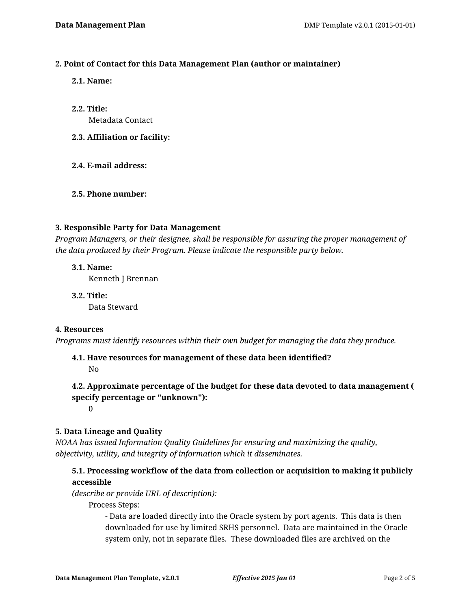# **2. Point of Contact for this Data Management Plan (author or maintainer)**

- **2.1. Name:**
- **2.2. Title:** Metadata Contact
- **2.3. Affiliation or facility:**
- **2.4. E-mail address:**

# **2.5. Phone number:**

# **3. Responsible Party for Data Management**

*Program Managers, or their designee, shall be responsible for assuring the proper management of the data produced by their Program. Please indicate the responsible party below.*

# **3.1. Name:**

Kenneth J Brennan

**3.2. Title:** Data Steward

# **4. Resources**

*Programs must identify resources within their own budget for managing the data they produce.*

# **4.1. Have resources for management of these data been identified?**

No

# **4.2. Approximate percentage of the budget for these data devoted to data management ( specify percentage or "unknown"):**

0

# **5. Data Lineage and Quality**

*NOAA has issued Information Quality Guidelines for ensuring and maximizing the quality, objectivity, utility, and integrity of information which it disseminates.*

# **5.1. Processing workflow of the data from collection or acquisition to making it publicly accessible**

*(describe or provide URL of description):*

Process Steps:

- Data are loaded directly into the Oracle system by port agents. This data is then downloaded for use by limited SRHS personnel. Data are maintained in the Oracle system only, not in separate files. These downloaded files are archived on the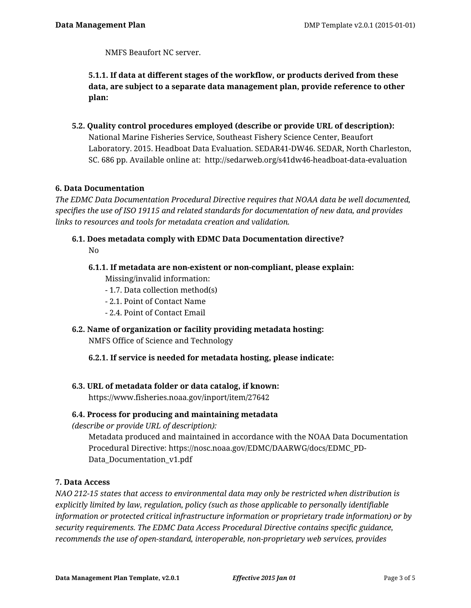NMFS Beaufort NC server.

**5.1.1. If data at different stages of the workflow, or products derived from these data, are subject to a separate data management plan, provide reference to other plan:**

**5.2. Quality control procedures employed (describe or provide URL of description):** National Marine Fisheries Service, Southeast Fishery Science Center, Beaufort Laboratory. 2015. Headboat Data Evaluation. SEDAR41-DW46. SEDAR, North Charleston, SC. 686 pp. Available online at: http://sedarweb.org/s41dw46-headboat-data-evaluation

# **6. Data Documentation**

*The EDMC Data Documentation Procedural Directive requires that NOAA data be well documented, specifies the use of ISO 19115 and related standards for documentation of new data, and provides links to resources and tools for metadata creation and validation.*

- **6.1. Does metadata comply with EDMC Data Documentation directive?** No
	- **6.1.1. If metadata are non-existent or non-compliant, please explain:**

Missing/invalid information:

- 1.7. Data collection method(s)
- 2.1. Point of Contact Name
- 2.4. Point of Contact Email
- **6.2. Name of organization or facility providing metadata hosting:** NMFS Office of Science and Technology
	- **6.2.1. If service is needed for metadata hosting, please indicate:**

# **6.3. URL of metadata folder or data catalog, if known:**

https://www.fisheries.noaa.gov/inport/item/27642

### **6.4. Process for producing and maintaining metadata**

*(describe or provide URL of description):*

Metadata produced and maintained in accordance with the NOAA Data Documentation Procedural Directive: https://nosc.noaa.gov/EDMC/DAARWG/docs/EDMC\_PD-Data\_Documentation\_v1.pdf

### **7. Data Access**

*NAO 212-15 states that access to environmental data may only be restricted when distribution is explicitly limited by law, regulation, policy (such as those applicable to personally identifiable information or protected critical infrastructure information or proprietary trade information) or by security requirements. The EDMC Data Access Procedural Directive contains specific guidance, recommends the use of open-standard, interoperable, non-proprietary web services, provides*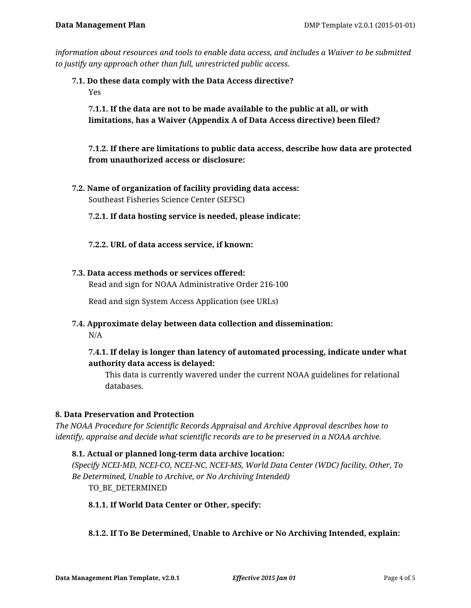*information about resources and tools to enable data access, and includes a Waiver to be submitted to justify any approach other than full, unrestricted public access.*

**7.1. Do these data comply with the Data Access directive?** Yes

**7.1.1. If the data are not to be made available to the public at all, or with limitations, has a Waiver (Appendix A of Data Access directive) been filed?**

# **7.1.2. If there are limitations to public data access, describe how data are protected from unauthorized access or disclosure:**

- **7.2. Name of organization of facility providing data access:** Southeast Fisheries Science Center (SEFSC)
	- **7.2.1. If data hosting service is needed, please indicate:**
	- **7.2.2. URL of data access service, if known:**

# **7.3. Data access methods or services offered:**

Read and sign for NOAA Administrative Order 216-100

Read and sign System Access Application (see URLs)

**7.4. Approximate delay between data collection and dissemination:**

N/A

# **7.4.1. If delay is longer than latency of automated processing, indicate under what authority data access is delayed:**

This data is currently wavered under the current NOAA guidelines for relational databases.

# **8. Data Preservation and Protection**

*The NOAA Procedure for Scientific Records Appraisal and Archive Approval describes how to identify, appraise and decide what scientific records are to be preserved in a NOAA archive.*

# **8.1. Actual or planned long-term data archive location:**

*(Specify NCEI-MD, NCEI-CO, NCEI-NC, NCEI-MS, World Data Center (WDC) facility, Other, To Be Determined, Unable to Archive, or No Archiving Intended)* TO\_BE\_DETERMINED

**8.1.1. If World Data Center or Other, specify:**

# **8.1.2. If To Be Determined, Unable to Archive or No Archiving Intended, explain:**